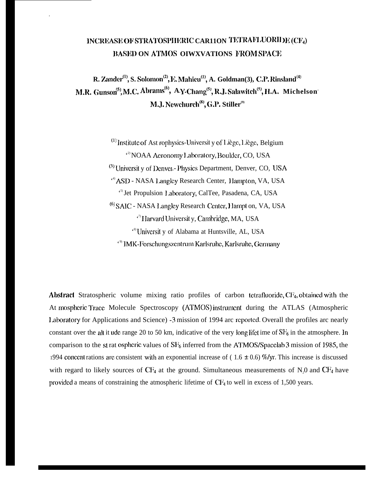# INCREASE OF STRATOSPHERIC CAR11ON TETRAFLUORIDE (CF4) **BASED ON ATMOS OIWXVATIONS FROM SPACE**

R. Zander<sup>(1)</sup>, S. Solomon<sup>(2)</sup>, E. Mahieu<sup>(1)</sup>, A. Goldman(3), C.P. Rinsland<sup>(4)</sup> M.R. Gunson<sup>(5)</sup>, M.C. Abrams<sup>(6)</sup>, A.Y.Chang<sup>(5)</sup>, R.J. Salawitch<sup>(5)</sup>, H.A. Michelson' M.J. Newchurch<sup>(8)</sup>, G.P. Stiller<sup>(9)</sup>

> $^{(1)}$  Institute of Ast rophysics-Universit y of Liège, Liège, Belgium <sup>2)</sup> NOAA Aeronomy Laboratory, Boulder, CO, USA <sup>(3)</sup> University of Denver.- Physics Department, Denver, CO, USA <sup>49</sup> ASD - NASA Langley Research Center, Hampton, VA, USA <sup>c5</sup> Jet Propulsion Laboratory, CalTee, Pasadena, CA, USA <sup>(6)</sup> SAIC - NASA Langley Research Center, Hampt on, VA, USA <sup>17</sup> Harvard Universit y, Cambridge, MA, USA <sup>e8</sup> Universit y of Alabama at Huntsville, AL, USA <sup>e9</sup> IMK-Forschungszentrum Karlsruhe, Karlsruhe, Germany

Abstract Stratospheric volume mixing ratio profiles of carbon tetrafluoride, CF<sub>4</sub>, obtained with the At mospheric Trace Molecule Spectroscopy (ATMOS) instrument during the ATLAS (Atmospheric Laboratory for Applications and Science) -3 mission of 1994 arc reported. Overall the profiles arc nearly constant over the alt it ude range 20 to 50 km, indicative of the very long lifet ime of  $SF_6$  in the atmosphere. In comparison to the st rat ospheric values of SF<sub>6</sub> inferred from the ATMOS/Spacelab 3 mission of 1985, the 1994 concent rations are consistent with an exponential increase of  $(1.6 \pm 0.6)$  %/yr. This increase is discussed with regard to likely sources of  $CF_4$  at the ground. Simultaneous measurements of N<sub>0</sub> and  $CF_4$  have provided a means of constraining the atmospheric lifetime of CF<sub>4</sub> to well in excess of 1,500 years.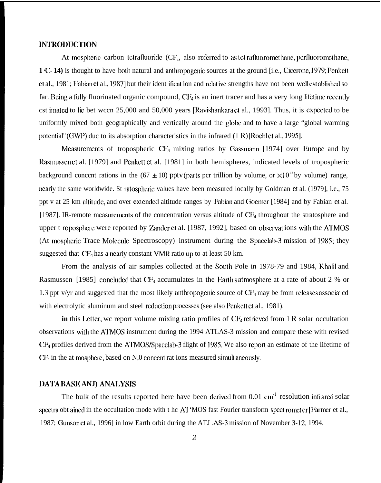# **INTRODUCTION**

At mospheric carbon tetrafluoride  $(\mathrm{CF}_4$ , also referred to as tet rafluoromethane, perfluoromethane **1 ~C- 14)** is thought to have both natural and anthropogenic sources at the ground [i.e., Ciceronc, 1979; Pcnkctt ct al., 1981; Fabian ct al., 1987] but their ident ificat ion and relative strengths have not been well est ablished so far. Being a fully fluorinated organic compound,  $CF_4$  is an inert tracer and has a very long lifetime recently cst imated to lie bet wccn 25,000 and 50,000 years [Ravishankara et al., 1993]. Thus, it is expected to be uniformly mixed both geographically and vertically around the globe and to have a large "global warming potential" (GWP) duc to its absorption characteristics in the infrared (1 R) [Rochl et al., 1995].

Measurements of tropospheric  $CF_4$  mixing ratios by Gassmann [1974] over Europc and by Rasmussen et al. [1979] and Penkett et al. [1981] in both hemispheres, indicated levels of tropospheric background concent rations in the (67  $\pm$  10) pptv (parts pcr trillion by volume, or  $\times$ 10<sup>-12</sup> by volume) range, ncarly the same worldwide. St ratospheric values have been measured locally by Goldman et al. (1979), i.e., 75 ppt v at 25 km altitude, and over extended altitude ranges by Fabian and Goemer [1984] and by Fabian et al. [1987]. IR-remote measurements of the concentration versus altitude of  $CF_4$  throughout the stratosphere and upper t roposphere were reported by Zander et al. [1987, 1992], based on observat ions with the ATMOS (At mospheric Trace Molecule Spectroscopy) instrument during the Spacelab-3 mission of 1985; they suggested that  $CF_4$  has a nearly constant VMR ratio up to at least 50 km.

From the analysis of air samples collected at the South Pole in 1978-79 and 1984, Khalil and Rasmussen [1985] concluded that  $CF_4$  accumulates in the Earth's atmosphere at a rate of about 2 % or 1.3 ppt v/yr and suggested that the most likely anthropogenic source of  $CF_4$  may be from rcleases associated with electrolytic aluminum and steel reduction processes (see also Penkett et al., 1981).

**in** this **1.** etter, we report volume mixing ratio profiles of  $CF_4$  retrieved from 1 R solar occultation observations with the ATMOS instrument during the 1994 ATLAS-3 mission and compare these with revised CF4 profiles derived from the ATMOS/Spacclab-3 flight of 1985. We also rcporl an estimate of the lifetime of  $CF<sub>4</sub>$  in the at mosphere, based on N<sub>0</sub> concent rat ions measured simult ancously.

#### **I)A'J'A IIASI! ANJ) ANAJ.YSIS**

The bulk of the results reported here have been derived from  $0.01 \text{ cm}^{-1}$  resolution infrared solar spectra obt ained in the occultation mode with t hc AT 'MOS fast Fourier transform spect romet er [Farmer et al., 1987; Gunson ct al., 1996] in low Earth orbit during the ATJ .AS-3 mission of November 3-12, 1994.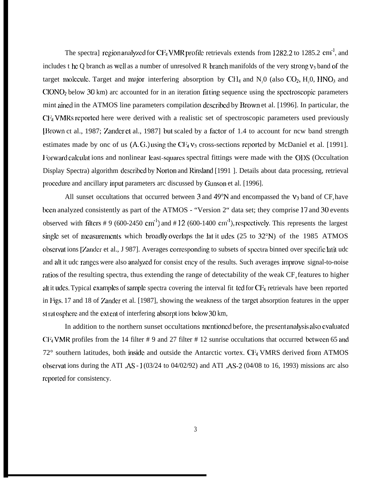The spectra] region analyzed for CF<sub>4</sub> VMR profile retrievals extends from 1282.2 to 1285.2 cm<sup>-1</sup>, and includes t hc Q branch as well as a number of unresolved R branch manifolds of the very strong  $v_3$  band of the target molecule. Target and major interfering absorption by  $CH_4$  and N<sub>2</sub>O (also CO<sub>2</sub>, H<sub>2</sub>O, HNO<sub>3</sub> and  $CIONO<sub>2</sub>$  below 30 km) arc accounted for in an iteration fitting sequence using the spectroscopic parameters mint aincd in the ATMOS line parameters compilation dcscribcd by Brown et al. [1996]. In particular, the CF<sub>4</sub> VMRs reported here were derived with a realistic set of spectroscopic parameters used previously [Ilrown ct al., 1987; Zmdcr ct al., 1987] but scaled by a factor of 1.4 to account for ncw band strength estimates made by onc of us (A.G.) using the CF<sub>4</sub>  $v_3$  cross-sections reported by McDaniel et al. [1991]. I forward calculat ions and nonlinear least-squares spectral fittings were made with the ODS (Occultation Display Spectra) algorithm dcscribcd by Norlon and Rinsland [1991 ]. Details about data processing, retrieval procedure and ancillary input parameters arc discussed by Gunson et al. [1996].

All sunset occultations that occurred between 3 and 49 $\degree$ N and encompassed the  $V_3$  band of CF<sub>4</sub> have bccn analyzed consistently as part of the ATMOS - "Version 2" data set; they comprise 17 and 30 events observed with filters # 9 (600-2450 cm<sup>-l</sup>) and # 12 (600-1400 cm<sup>-l</sup>), respectively. This represents the largest single set of measurements which broadly overlaps the lat it udes  $(25 \text{ to } 32^{\circ}N)$  of the 1985 ATMOS observat ions [Zander et al., J 987]. Averages corresponding to subsets of spectra binned over specific latit udc and all it udc ranges were also analyzed for consist ency of the results. Such averages improve signal-to-noise ratios of the resulting spectra, thus extending the range of detectability of the weak CF<sub>4</sub> features to higher alt it udes. Typical examples of sample spectra covering the interval fit ted for  $CF_4$  retrievals have been reported in Figs. 17 and 18 of Zander et al. [1987], showing the weakness of the target absorption features in the upper st rat osphere and the ext ent of interfering absorpt ions below 30 km,

In addition to the northern sunset occultations mentioned before, the present analysis also evaluated CF<sub>4</sub> VMR profiles from the 14 filter # 9 and 27 filter # 12 sunrise occultations that occurred bctween 65 and  $72^{\circ}$  southern latitudes, both inside and outside the Antarctic vortex. CF<sub>4</sub> VMRS derived from ATMOS obscrvat ions during the ATI ,AS - 1 (03/24 to 04/02/92) and ATI ,AS-2 (04/08 to 16, 1993) missions arc also reported for consistency.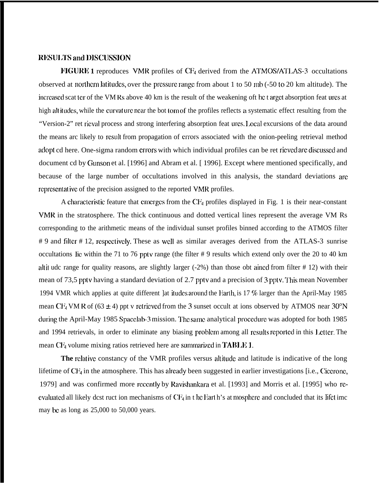#### **l{lWJI;l'S am] l)lSCIJSSION**

**FIGURE 1** reproduces VMR profiles of CF<sub>4</sub> derived from the ATMOS/ATLAS-3 occultations observed at northern latitudes, over the pressure range from about 1 to 50 mb (-50 to 20 km altitude). The increased scat ter of the VM Rs above 40 km is the result of the weakening oft he t arget absorption feat ures at high alt itudes, while the curvature near the bot tom of the profiles reflects a systematic effect resulting from the "Version-2" ret rieval process and strong interfering absorption feat urcs. Local excursions of the data around the means arc likely to result from propagation of errors associated with the onion-peeling retrieval method adopt cd here. One-sigma random errors with which individual profiles can be ret rieved are discussed and document cd by Ciunson et al. [1996] and Abram et al. [ 1996]. Except where mentioned specifically, and because of the large number of occultations involved in this analysis, the standard deviations arc representative of the precision assigned to the reported VMR profiles.

A characteristic feature that emerges from the CF<sub>4</sub> profiles displayed in Fig. 1 is their near-constant VMR in the stratosphere. The thick continuous and dotted vertical lines represent the average VM Rs corresponding to the arithmetic means of the individual sunset profiles binned according to the ATMOS filter # 9 and filter # 12, rcspcctivcly. These as WCII as similar averages derived from the ATLAS-3 sunrise occultations lic within the 71 to 76 pptv range (the filter # 9 results which extend only over the 20 to 40 km altit udc range for quality reasons, are slightly larger  $(-2%)$  than those obt ained from filter # 12) with their mean of 73,5 pptv having a standard deviation of 2.7 pptv and a precision of 3 pptv. This mean November 1994 VMR which applies at quite different ]at itudes around the Earth, is 17 % larger than the April-May 1985 mean CF<sub>4</sub> VM R of (63  $\pm$  4) ppt v retrieved from the 3 sunset occult at ions observed by ATMOS near 30°N during the April-May 1985 Spacclab-3 mission. The same analytical procedure was adopted for both 1985 and 1994 retrievals, in order to eliminate any biasing problem among all results reported in this Letter. The mean  $CF_4$  volume mixing ratios retrieved here are summarized in **TABLE 1.** 

The relative constancy of the VMR profiles versus altitude and latitude is indicative of the long lifetime of CF<sub>4</sub> in the atmosphere. This has already been suggested in earlier investigations [i.e., Cicerone, 1979] and was confirmed more recently by Ravishankara et al. [1993] and Morris et al. [1995] who recvaluated all likely dest ruct ion mechanisms of CF<sub>4</sub> in t he Eart h's at mosphere and concluded that its lifet imc may be as long as  $25,000$  to  $50,000$  years.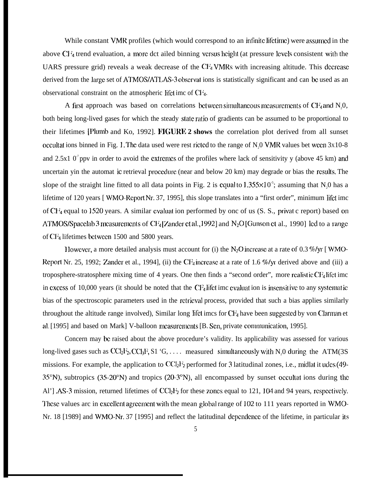While constant VMR profiles (which would correspond to an infinite lifetime) were assumed in the above  $CF<sub>4</sub>$  trend evaluation, a more dct ailed binning versus height (at pressure levels consistent with the UARS pressure grid) reveals a weak decrease of the  $CF_4$  VMRs with increasing altitude. This decrease derived from the large set of ATMOS/ATLAS-3 observat ions is statistically significant and can be used as an observational constraint on the atmospheric lifet imc of  $CF_4$ .

A first approach was based on correlations between simultaneous measurements of  $CF_4$  and N<sub>2</sub>0, both being long-lived gases for which the steady state ratio of gradients can be assumed to be proportional to their lifetimes [Plumb and Ko, 1992]. **FIGURE 2 shows** the correlation plot derived from all sunset occultations binned in Fig. 1. The data used were rest ricted to the range of N,0 VMR values bet ween  $3x10-8$ and 2.5x1  $0^7$  ppv in order to avoid the extremes of the profiles where lack of sensitivity y (above 45 km) and uncertain yin the automat ic retrieval procedure (near and below 20 km) may degrade or bias the results. The slope of the straight line fitted to all data points in Fig. 2 is equal to  $1.355 \times 10^{-5}$ ; assuming that N<sub>0</sub> has a lifetime of 120 years [ WMO-Report Nr, 37, 1995], this slope translates into a "first order", minimum lifct imc of  $\rm{C}\rm{F}_4$  equal to 1520 years. A similar evaluat ion performed by onc of us (S. S., privat c report) based on ATMOS/Spacelab 3 measurements of  $CF_4$  [Zander et al., 1992] and  $N_2O$  [Gunson et al., 1990] led to a range of CF4 lifetimes bctwccn 1500 and 5800 years.

1 lowever, a more detailed analysis must account for (i) the  $N_2O$  increase at a rate of 0.3 %/yr [ WMO-Report Nr. 25, 1992; Zander et al., 1994], (ii) the CF<sub>4</sub> increase at a rate of 1.6 %/yr derived above and (iii) a troposphere-stratosphere mixing time of 4 years. One then finds a "second order", more realistic  $CF_4$  lifet imc in excess of 10,000 years (it should be noted that the CF $_4$  lifet imc evaluat ion is insensitive to any systematic bias of the spectroscopic parameters used in the retricval process, provided that such a bias applies similarly throughout the altitude range involved), Similar long lifet imcs for  $CF_4$  have been suggested by von Clarman et al, [1995] and based on Mark] V-balloon measurements [B. Sen, private communication, 1995].

Concern may bc raised about the above procedure's validity. Its applicability was assessed for various long-lived gases such as  $CCl_2F_2, CCl_3F, S1 \cdot G, \ldots$  measured simultaneously with N<sub>0</sub> during the ATM(3S) missions. For example, the application to  $CCl_2F_2$  performed for 3 latitudinal zones, i.e., midlat it udes (49-35°N), subtropics (35-20°N) and tropics (20-3°N), all encompassed by sunset occullat ions during lhc Al']  $\Delta$ S-3 mission, returned lifetimes of CCl<sub>2</sub>I<sup>3</sup> for these zones equal to 121, 104 and 94 years, respectively. These values arc in excellent agreement with the mean global range of 102 to 111 years reported in WMO-Nr. 18 [1989] and WMO-Nr. 37 [1995] and reflect the latitudinal dependence of the lifetime, in particular its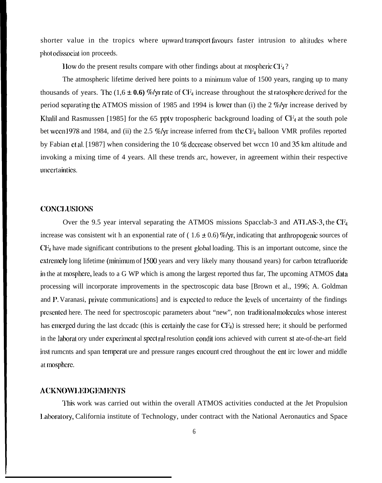shorter value in the tropics where upward transport favours faster intrusion to allitudes where phot odissociat ion proceeds.

How do the present results compare with other findings about at mospheric  $CF_4$ ?

The atmospheric lifetime derived here points to a minimum value of 1500 years, ranging up to many thousands of years. The (1,6  $\pm$  0.6) %/yr rate of CF<sub>4</sub> increase throughout the st ratosphere derived for the period scparating the ATMOS mission of 1985 and 1994 is lower than (i) the 2 %/yr increase derived by Khalil and Rasmussen [1985] for the 65 pptv tropospheric background loading of CF4 at the south pole bet wecn 1978 and 1984, and (ii) the 2.5 %/yr increase inferred from the CF<sub>4</sub> balloon VMR profiles reported by Fabian ct al. [1987] when considering the 10 % decrease observed bet wccn 10 and 35 km altitude and invoking a mixing time of 4 years. All these trends arc, however, in agreement within their respective unccrtainlics.

### CONCI.LJSIONS

Over the 9.5 year interval separating the ATMOS missions Spacclab-3 and ATLAS-3, the CF<sub>4</sub> increase was consistent wit h an exponential rate of  $(1.6 \pm 0.6)$  %/yr, indicating that anthropogenic sources of CF4 have made significant contributions to the present global loading. This is an important outcome, since the extremcly long lifetime (minimum of 1500 years and very likely many thousand years) for carbon tetrafluoride in the at mospherc, leads to a G WP which is among the largest reported thus far, The upcoming ATMOS data processing will incorporate improvements in the spectroscopic data base [Brown et al., 1996; A. Goldman and P. Varanasi, private communications] and is expected to reduce the levels of uncertainty of the findings presented here. The need for spectroscopic parameters about "new", non traditional molecules whose interest has cmcrged during the last dccadc (this is certainly the case for CF<sub>4</sub>) is stressed here; it should be performed in the laborat ory under experiment al spect ral resolution condit ions achieved with current st ate-of-the-art field inst rumcnts and span tempcrat ure and pressure ranges cncount cred throughout the cnt irc lower and middle at mosphcrc.

#### **ACKNO\V1.ltl)GlcMIIN'lS**

'1'his work was carried out within the overall ATMOS activities conducted at the Jet Propulsion 1.abomtory, California institute of Technology, under contract with the National Aeronautics and Space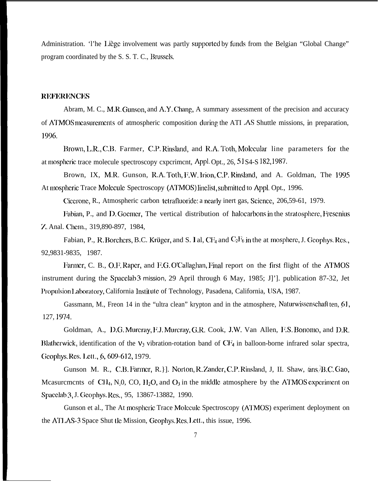Administration. 'I'he Liège involvement was partly supported by funds from the Belgian "Global Change" program coordinated by the S. S. T. C., Brussels.

# **IREFERENCES**

Abram, M. C., M.R. Gunson, and A.Y. Chang, A summary assessment of the precision and accuracy of ATMOS measurements of atmospheric composition during the ATI .AS Shuttle missions, in preparation, 1996.

Brown, L.R., C.B. Farmer, C.P. Rinsland, and R.A. Toth, Molecular line parameters for the at mosphcric trace molecule spectroscopy cxpcrimcnt, Appl. Opt., 26, S 1 S4-S 182, 1987.

Brown, IX, M.R. Gunson, R.A. Toth, F.W. lrion, C.P. Rinsland, and A. Goldman, The 1995 At mospheric Trace Molecule Spectroscopy (ATMOS) linelist, submitted to Appl. Opt., 1996.

Cicerone, R., Atmospheric carbon tetrafluoride: a nearly inert gas, Science, 206,59-61, 1979.

Fabian, P., and D. Goemer, The vertical distribution of halocarbons in the stratosphere, Fresenius Y,. Anal. Chcm., 319,890-897, 1984,

Fabian, P., R. Borchers, B.C. Krüger, and S. I al,  $CF_4$  and  $C_2F_6$  in the at mosphere, J. Geophys. Res. 92,9831-9835, 1987.

Farmer, C. B., O.F. Raper, and F.G. O'Callaghan, Final report on the first flight of the ATMOS instrument during the Spacclab 3 mission, 29 April through 6 May, 1985; J]']. publication 87-32, Jet Propulsion Laboratory, California Institute of Technology, Pasadena, California, USA, 1987.

Gassmann, M., Freon 14 in the "ultra clean" krypton and in the atmosphere, Naturwissenschaft ten, 61, 127, 1974,

Goldman, A., D.G. Murcray, F.J. Murcray, G.R. Cook, J.W. Van Allen, F.S. Bonomo, and D.R. Blathcrwick, identification of the  $v_3$  vibration-rotation band of CF<sub>4</sub> in balloon-borne infrared solar spectra, Geophys. Res. Lett., 6, 609-612, 1979.

Gunson M. R., C.B. Farmer, R.}]. Norton, R. Zander, C.P. Rinsland, J. II. Shaw,  $\langle \text{ans} \rangle$ B.C. Gao, Mcasurcmcnts of CH<sub>4</sub>, N<sub>0</sub>, CO, H<sub>2</sub>O, and  $O_3$  in the middle atmosphere by the ATMOS experiment on Spacelab 3, J. Geophys. Res., 95, 13867-13882, 1990.

Gunson et al., The At mospheric Trace Molecule Spectroscopy (ATMOS) experiment deployment on the ATLAS-3 Space Shut tle Mission, Geophys. Res. Lett., this issue, 1996.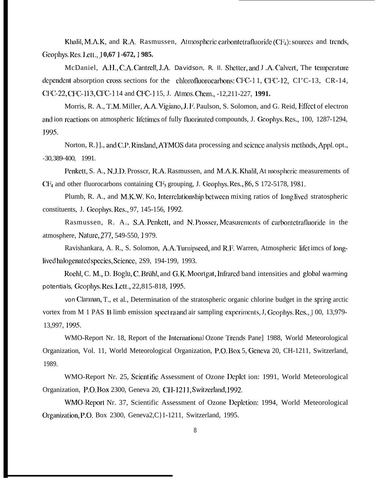Khalil, M.A.K, and R.A. Rasmussen, Atmospheric carbontetrafluoride  $(CF_4)$ : sources and trends, **~CO@JR ~CS, ] ,ctt,, j 0,67 ] -672, ~ 985.**

McDaniel, A.H., C.A. Cantrell, J.A. Davidson, R. II. Shetter, and J.A. Calvert, The temperature dependent absorption cross sections for the chlorofluorocarbons: CFC-11, CFC-12, CI'C-13, CR-14, CFC-22, CFC-113, CFC-114 and CFC-115, J. Atmos. Chem., -12,211-227, 1991.

Morris, R. A., T.M. Miller, A.A. Vigiano, J. F. Paulson, S. Solomon, and G. Reid, Effect of electron and ion reactions on atmospheric lifetimes of fully fluorinated compounds, J. Geophys. Res., 100, 1287-1294, J995.

Norton, R. } ]., and C.P. Rinsland, ATMOS data processing and science analysis methods, Appl. opt., -30,389-400, 1991.

Penkett, S. A., N.J.D. Prosscr, R.A. Rasmussen, and M.A.K. Khalil, At mospheric measurements of  $CF_4$  and other fluorocarbons containing  $CF_3$  grouping, J. Geophys. Res.,  $86$ , S 172-5178, 1981.

Plumb, R. A., and M.K.W. Ko, Interrelationship between mixing ratios of long lived stratospheric constituents, J. Gcophys. Res., 97, 145-156, 1992.

Rasmussen, R. A., S.A. Penkett, and N. Prosser, Measurements of carbontetrafluoride in the atmosphere, Nature, 277, 549-550, 1979.

Ravishankara, A. R., S. Solomon, A.A. Turnipseed, and R.F. Warren, Atmospheric lifet imcs of longlived halogenated species, Science, 2S9, 194-199, 1993.

Rochl, C. M., D. Boglu, C. Brühl, and G.K. Moortgat, Infrared band intensities and global warming potentials, Geophys. Res. Lett., 22,815-818, 1995.

von Clarman, T., et al., Determination of the stratospheric organic chlorine budget in the spring arctic vortex from M 1 PAS B limb emission spect ra and air sampling experiments, J, Geophys, Res., 100, 13,979-13,997, 1995.

WMO-Report Nr. 18, Report of the International Ozone Trends Pane] 1988, World Meteorological Organization, Vol. 11, World Meteorological Organization, P.O. Box 5, Geneva 20, CH-1211, Switzerland, 1989.

WMO-Report Nr. 25, Scientific Assessment of Ozone Deplet ion: 1991, World Meteorological Organization, P.O. Box 2300, Geneva 20, CH-1211, Switzerland, 1992.

WMO-Report Nr. 37, Scientific Assessment of Ozone Depletion: 1994, World Meteorological Organization, P.O. Box 2300, Geneva2,C}1-1211, Switzerland, 1995.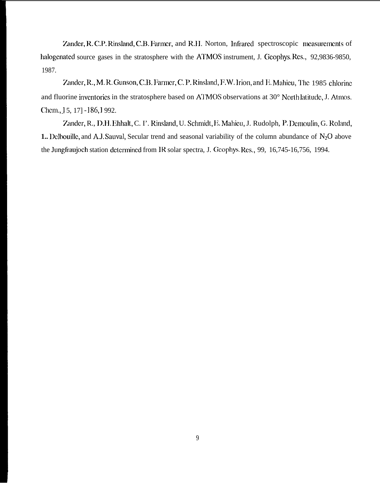Zander, R. C.P. Rinsland, C.B. Farmer, and R.H. Norton, Infrared spectroscopic measurements of halogenated source gases in the stratosphere with the ATMOS instrument, J. Geophys. Res., 92,9836-9850, 1987.

Zander, R., M. R. Gunson, C.B. Farmer, C.P. Rinsland, F.W. Irion, and E. Mahieu, The 1985 chlorine and fluorine inventories in the stratosphere based on ATMOS observations at 30° North latitude, J. Atmos. Chem., 15, 17] -186, 1992.

Zander, R., D.H. Ehhalt, C. I'. Rinsland, U. Schmidt, E. Mahieu, J. Rudolph, P. Demoulin, G. Roland, 1. Delbouille, and A.J. Sauval, Secular trend and seasonal variability of the column abundance of  $N_2O$  above the Jungfraujoch station determined from IR solar spectra, J. Geophys. Res., 99, 16,745-16,756, 1994.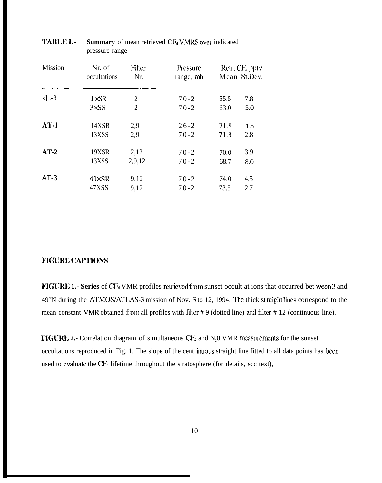| <b>Mission</b> | Nr. of<br>occultations | Filter<br>Nr.  | Pressure<br>range, mb | Retr. $CF_4$ pptv<br>Mean St.Dev. |     |
|----------------|------------------------|----------------|-----------------------|-----------------------------------|-----|
| $s$ ] .-3      | $1 \times SR$          | 2              | $70-2$                | 55.5                              | 7.8 |
|                | $3\times$ SS           | $\overline{2}$ | $70-2$                | 63.0                              | 3.0 |
| $\Lambda$ T-1  | 14XSR                  | 2,9            | $26 - 2$              | 71.8                              | 1.5 |
|                | 13XSS                  | 2,9            | $70-2$                | 71.3                              | 2.8 |
| $AT-2$         | 19XSR                  | 2,12           | $70-2$                | 70.0                              | 3.9 |
|                | 13XSS                  | 2,9,12         | $70-2$                | 68.7                              | 8.0 |
| $AT-3$         | $41\times$ SR          | 9,12           | $70 - 2$              | 74.0                              | 4.5 |
|                | 47XSS                  | 9,12           | $70-2$                | 73.5                              | 2.7 |

# **TABLE 1.- Summary** of mean retrieved CF<sub>4</sub> VMRS over indicated pressure range

# **L'HGURE CAPTIONS**

**FIGURE 1.- Series** of CF<sub>4</sub> VMR profiles retrieved from sunset occult at ions that occurred bet ween 3 and 49°N during the ATMOS/ATLAS-3 mission of Nov. 3 to 12, 1994. The thick st raight lines correspond to the mean constant VMR obtained from all profiles with filter # 9 (dotted line) and filter # 12 (continuous line).

**FIGURE 2.-** Correlation diagram of simultaneous CF<sub>4</sub> and N<sub>2</sub>0 VMR measurements for the sunset occultations reproduced in Fig. 1. The slope of the cent inuous straight line fitted to all data points has been used to evaluate the  $CF_4$  lifetime throughout the stratosphere (for details, scc text),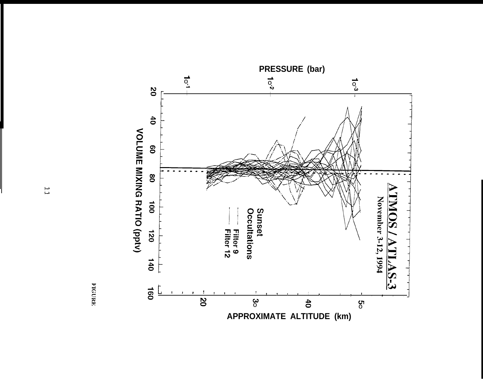